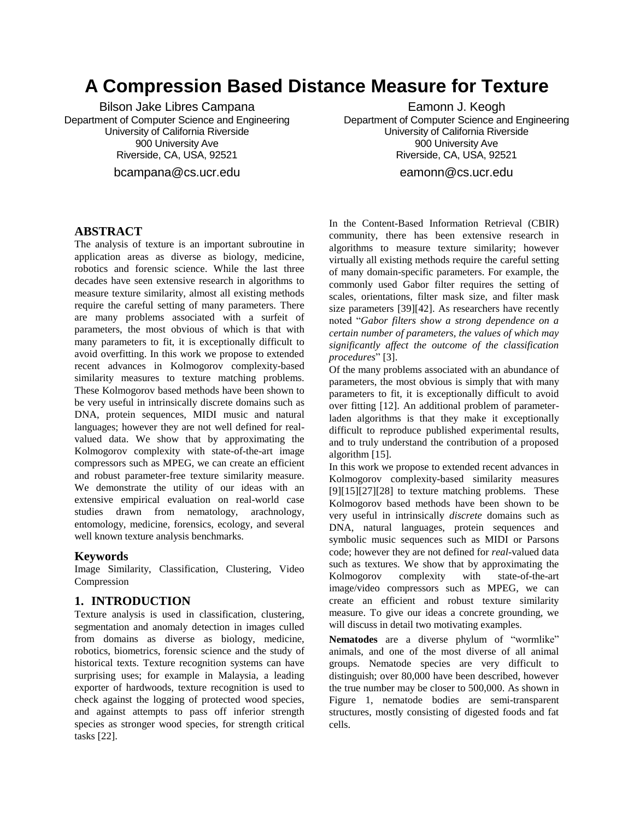# **A Compression Based Distance Measure for Texture**

Bilson Jake Libres Campana Department of Computer Science and Engineering University of California Riverside 900 University Ave Riverside, CA, USA, 92521

bcampana@cs.ucr.edu

Eamonn J. Keogh Department of Computer Science and Engineering University of California Riverside 900 University Ave Riverside, CA, USA, 92521

eamonn@cs.ucr.edu

## **ABSTRACT**

The analysis of texture is an important subroutine in application areas as diverse as biology, medicine, robotics and forensic science. While the last three decades have seen extensive research in algorithms to measure texture similarity, almost all existing methods require the careful setting of many parameters. There are many problems associated with a surfeit of parameters, the most obvious of which is that with many parameters to fit, it is exceptionally difficult to avoid overfitting. In this work we propose to extended recent advances in Kolmogorov complexity-based similarity measures to texture matching problems. These Kolmogorov based methods have been shown to be very useful in intrinsically discrete domains such as DNA, protein sequences, MIDI music and natural languages; however they are not well defined for realvalued data. We show that by approximating the Kolmogorov complexity with state-of-the-art image compressors such as MPEG, we can create an efficient and robust parameter-free texture similarity measure. We demonstrate the utility of our ideas with an extensive empirical evaluation on real-world case studies drawn from nematology, arachnology, entomology, medicine, forensics, ecology, and several well known texture analysis benchmarks.

#### **Keywords**

Image Similarity, Classification, Clustering, Video Compression

#### **1. INTRODUCTION**

Texture analysis is used in classification, clustering, segmentation and anomaly detection in images culled from domains as diverse as biology, medicine, robotics, biometrics, forensic science and the study of historical texts. Texture recognition systems can have surprising uses; for example in Malaysia, a leading exporter of hardwoods, texture recognition is used to check against the logging of protected wood species, and against attempts to pass off inferior strength species as stronger wood species, for strength critical tasks [\[22\].](#page-10-0)

In the Content-Based Information Retrieval (CBIR) community, there has been extensive research in algorithms to measure texture similarity; however virtually all existing methods require the careful setting of many domain-specific parameters. For example, the commonly used Gabor filter requires the setting of scales, orientations, filter mask size, and filter mask size parameters [\[39\]\[42\].](#page-11-0) As researchers have recently noted ―*Gabor filters show a strong dependence on a certain number of parameters, the values of which may significantly affect the outcome of the classification procedures*‖ [\[3\].](#page-9-0)

Of the many problems associated with an abundance of parameters, the most obvious is simply that with many parameters to fit, it is exceptionally difficult to avoid over fitting [\[12\].](#page-10-1) An additional problem of parameterladen algorithms is that they make it exceptionally difficult to reproduce published experimental results, and to truly understand the contribution of a proposed algorithm [\[15\].](#page-10-2)

In this work we propose to extended recent advances in Kolmogorov complexity-based similarity measures  $[9][15][27][28]$  $[9][15][27][28]$  to texture matching problems. These Kolmogorov based methods have been shown to be very useful in intrinsically *discrete* domains such as DNA, natural languages, protein sequences and symbolic music sequences such as MIDI or Parsons code; however they are not defined for *real*-valued data such as textures. We show that by approximating the Kolmogorov complexity with state-of-the-art image/video compressors such as MPEG, we can create an efficient and robust texture similarity measure. To give our ideas a concrete grounding, we will discuss in detail two motivating examples.

Nematodes are a diverse phylum of "wormlike" animals, and one of the most diverse of all animal groups. Nematode species are very difficult to distinguish; over 80,000 have been described, however the true number may be closer to 500,000. As shown in [Figure 1,](#page-1-0) nematode bodies are semi-transparent structures, mostly consisting of digested foods and fat cells.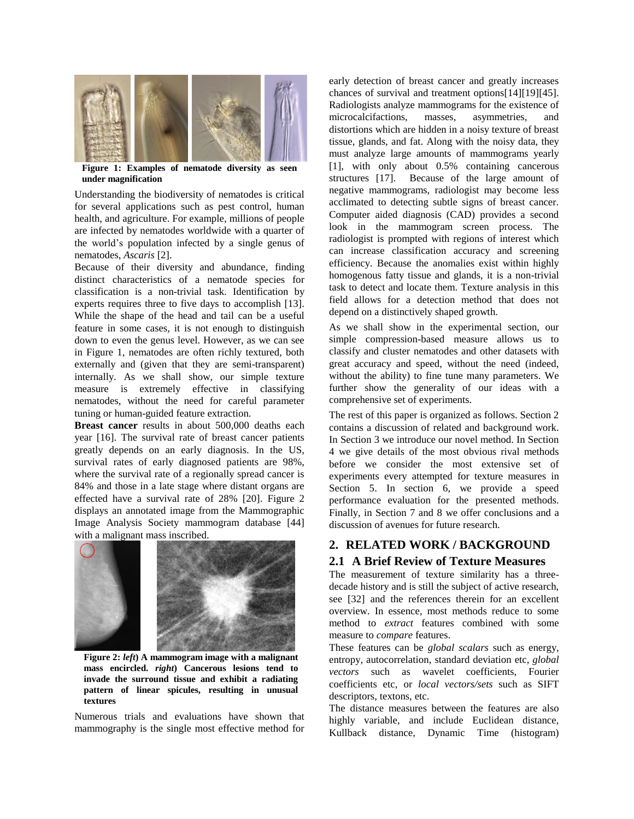

**Figure 1: Examples of nematode diversity as seen under magnification**

<span id="page-1-0"></span>Understanding the biodiversity of nematodes is critical for several applications such as pest control, human health, and agriculture. For example, millions of people are infected by nematodes worldwide with a quarter of the world's population infected by a single genus of nematodes, *Ascaris* [\[2\].](#page-9-1)

Because of their diversity and abundance, finding distinct characteristics of a nematode species for classification is a non-trivial task. Identification by experts requires three to five days to accomplish [\[13\].](#page-10-5) While the shape of the head and tail can be a useful feature in some cases, it is not enough to distinguish down to even the genus level. However, as we can see in [Figure 1,](#page-1-0) nematodes are often richly textured, both externally and (given that they are semi-transparent) internally. As we shall show, our simple texture measure is extremely effective in classifying nematodes, without the need for careful parameter tuning or human-guided feature extraction.

**Breast cancer** results in about 500,000 deaths each year [\[16\].](#page-10-6) The survival rate of breast cancer patients greatly depends on an early diagnosis. In the US, survival rates of early diagnosed patients are 98%, where the survival rate of a regionally spread cancer is 84% and those in a late stage where distant organs are effected have a survival rate of 28% [\[20\].](#page-10-7) [Figure 2](#page-1-1) displays an annotated image from the Mammographic Image Analysis Society mammogram database [\[44\]](#page-11-1) with a malignant mass inscribed.



**Figure 2:** *left***) A mammogram image with a malignant mass encircled.** *right***) Cancerous lesions tend to invade the surround tissue and exhibit a radiating pattern of linear spicules, resulting in unusual textures**

<span id="page-1-1"></span>Numerous trials and evaluations have shown that mammography is the single most effective method for

early detection of breast cancer and greatly increases chances of survival and treatment option[s\[14\]\[19\]](#page-10-8)[\[45\].](#page-11-2) Radiologists analyze mammograms for the existence of microcalcifactions, masses, asymmetries, and distortions which are hidden in a noisy texture of breast tissue, glands, and fat. Along with the noisy data, they must analyze large amounts of mammograms yearly [\[1\],](#page-9-2) with only about 0.5% containing cancerous structures [\[17\].](#page-10-9) Because of the large amount of negative mammograms, radiologist may become less acclimated to detecting subtle signs of breast cancer. Computer aided diagnosis (CAD) provides a second look in the mammogram screen process. The radiologist is prompted with regions of interest which can increase classification accuracy and screening efficiency. Because the anomalies exist within highly homogenous fatty tissue and glands, it is a non-trivial task to detect and locate them. Texture analysis in this field allows for a detection method that does not depend on a distinctively shaped growth.

As we shall show in the experimental section, our simple compression-based measure allows us to classify and cluster nematodes and other datasets with great accuracy and speed, without the need (indeed, without the ability) to fine tune many parameters. We further show the generality of our ideas with a comprehensive set of experiments.

The rest of this paper is organized as follows. Section 2 contains a discussion of related and background work. In Section 3 we introduce our novel method. In Section 4 we give details of the most obvious rival methods before we consider the most extensive set of experiments every attempted for texture measures in Section 5. In section 6, we provide a speed performance evaluation for the presented methods. Finally, in Section 7 and 8 we offer conclusions and a discussion of avenues for future research.

# **2. RELATED WORK / BACKGROUND**

## **2.1 A Brief Review of Texture Measures**

The measurement of texture similarity has a threedecade history and is still the subject of active research, see [\[32\]](#page-10-10) and the references therein for an excellent overview. In essence, most methods reduce to some method to *extract* features combined with some measure to *compare* features.

These features can be *global scalars* such as energy, entropy, autocorrelation, standard deviation etc, *global vectors* such as wavelet coefficients, Fourier coefficients etc, or *local vectors/sets* such as SIFT descriptors, textons, etc.

The distance measures between the features are also highly variable, and include Euclidean distance, Kullback distance, Dynamic Time (histogram)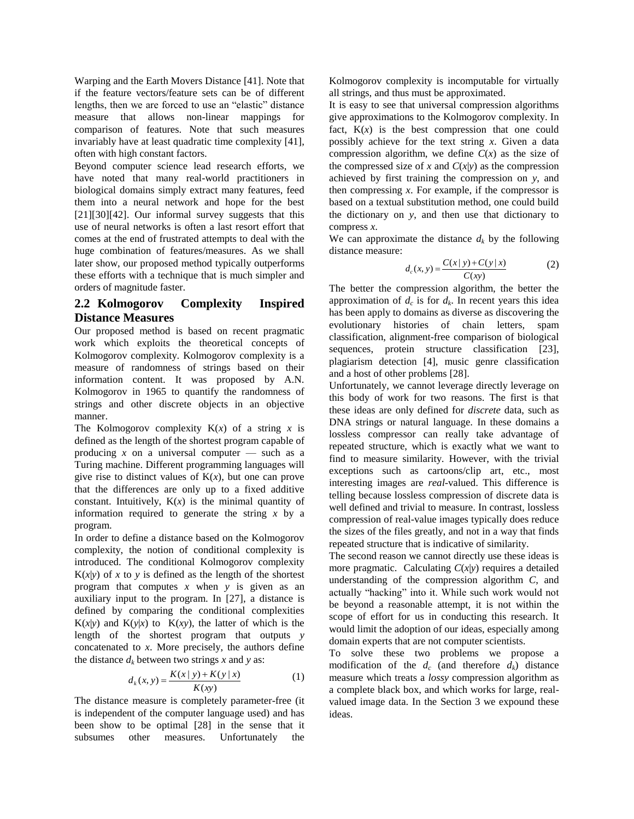Warping and the Earth Movers Distance [\[41\].](#page-11-3) Note that if the feature vectors/feature sets can be of different lengths, then we are forced to use an "elastic" distance measure that allows non-linear mappings for comparison of features. Note that such measures invariably have at least quadratic time complexity [\[41\],](#page-11-3) often with high constant factors.

Beyond computer science lead research efforts, we have noted that many real-world practitioners in biological domains simply extract many features, feed them into a neural network and hope for the best [\[21\]\[30\]](#page-10-11)[\[42\].](#page-11-4) Our informal survey suggests that this use of neural networks is often a last resort effort that comes at the end of frustrated attempts to deal with the huge combination of features/measures. As we shall later show, our proposed method typically outperforms these efforts with a technique that is much simpler and orders of magnitude faster.

# **2.2 Kolmogorov Complexity Inspired Distance Measures**

Our proposed method is based on recent pragmatic work which exploits the theoretical concepts of Kolmogorov complexity. Kolmogorov complexity is a measure of randomness of strings based on their information content. It was proposed by A.N. Kolmogorov in 1965 to quantify the randomness of strings and other discrete objects in an objective manner.

The Kolmogorov complexity  $K(x)$  of a string x is defined as the length of the shortest program capable of producing  $x$  on a universal computer  $-$  such as a Turing machine. Different programming languages will give rise to distinct values of  $K(x)$ , but one can prove that the differences are only up to a fixed additive constant. Intuitively,  $K(x)$  is the minimal quantity of information required to generate the string *x* by a program.

In order to define a distance based on the Kolmogorov complexity, the notion of conditional complexity is introduced. The conditional Kolmogorov complexity  $K(x|y)$  of *x* to *y* is defined as the length of the shortest program that computes *x* when *y* is given as an auxiliary input to the program. In [\[27\],](#page-10-4) a distance is defined by comparing the conditional complexities  $K(x|y)$  and  $K(y|x)$  to  $K(xy)$ , the latter of which is the length of the shortest program that outputs *y* concatenated to *x*. More precisely, the authors define the distance  $d_k$  between two strings *x* and *y* as:

$$
d_k(x, y) = \frac{K(x | y) + K(y | x)}{K(xy)}
$$
 (1)

The distance measure is completely parameter-free (it is independent of the computer language used) and has been show to be optimal [\[28\]](#page-10-12) in the sense that it subsumes other measures. Unfortunately the Kolmogorov complexity is incomputable for virtually all strings, and thus must be approximated.

It is easy to see that universal compression algorithms give approximations to the Kolmogorov complexity. In fact,  $K(x)$  is the best compression that one could possibly achieve for the text string *x*. Given a data compression algorithm, we define  $C(x)$  as the size of the compressed size of *x* and  $C(x|y)$  as the compression achieved by first training the compression on *y*, and then compressing *x*. For example, if the compressor is based on a textual substitution method, one could build the dictionary on *y*, and then use that dictionary to compress *x*.

We can approximate the distance  $d_k$  by the following distance measure:

$$
d_c(x, y) = \frac{C(x \mid y) + C(y \mid x)}{C(xy)}
$$
 (2)

The better the compression algorithm, the better the approximation of  $d_c$  is for  $d_k$ . In recent years this idea has been apply to domains as diverse as discovering the evolutionary histories of chain letters, spam classification, alignment-free comparison of biological sequences, protein structure classification [\[23\],](#page-10-13) plagiarism detection [\[4\],](#page-9-3) music genre classification and a host of other problems [\[28\].](#page-10-12)

Unfortunately, we cannot leverage directly leverage on this body of work for two reasons. The first is that these ideas are only defined for *discrete* data, such as DNA strings or natural language. In these domains a lossless compressor can really take advantage of repeated structure, which is exactly what we want to find to measure similarity. However, with the trivial exceptions such as cartoons/clip art, etc., most interesting images are *real*-valued. This difference is telling because lossless compression of discrete data is well defined and trivial to measure. In contrast, lossless compression of real-value images typically does reduce the sizes of the files greatly, and not in a way that finds repeated structure that is indicative of similarity.

The second reason we cannot directly use these ideas is more pragmatic. Calculating *C*(*x*|*y*) requires a detailed understanding of the compression algorithm *C*, and actually "hacking" into it. While such work would not be beyond a reasonable attempt, it is not within the scope of effort for us in conducting this research. It would limit the adoption of our ideas, especially among domain experts that are not computer scientists.

To solve these two problems we propose a modification of the  $d_c$  (and therefore  $d_k$ ) distance measure which treats a *lossy* compression algorithm as a complete black box, and which works for large, realvalued image data. In the Section 3 we expound these ideas.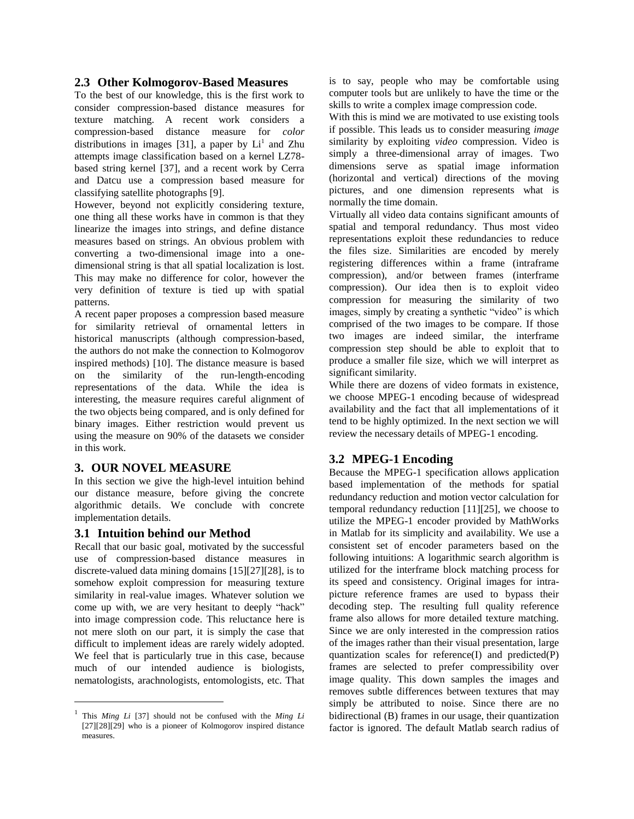# **2.3 Other Kolmogorov-Based Measures**

To the best of our knowledge, this is the first work to consider compression-based distance measures for texture matching. A recent work considers a compression-based distance measure for *color* distributions in images [\[31\],](#page-10-14) a paper by  $Li<sup>1</sup>$  and Zhu attempts image classification based on a kernel LZ78 based string kernel [\[37\],](#page-11-5) and a recent work by Cerra and Datcu use a compression based measure for classifying satellite photographs [\[9\].](#page-10-3) 

However, beyond not explicitly considering texture, one thing all these works have in common is that they linearize the images into strings, and define distance measures based on strings. An obvious problem with converting a two-dimensional image into a onedimensional string is that all spatial localization is lost. This may make no difference for color, however the very definition of texture is tied up with spatial patterns.

A recent paper proposes a compression based measure for similarity retrieval of ornamental letters in historical manuscripts (although compression-based, the authors do not make the connection to Kolmogorov inspired methods) [\[10\].](#page-10-15) The distance measure is based on the similarity of the run-length-encoding representations of the data. While the idea is interesting, the measure requires careful alignment of the two objects being compared, and is only defined for binary images. Either restriction would prevent us using the measure on 90% of the datasets we consider in this work.

## **3. OUR NOVEL MEASURE**

In this section we give the high-level intuition behind our distance measure, before giving the concrete algorithmic details. We conclude with concrete implementation details.

# **3.1 Intuition behind our Method**

Recall that our basic goal, motivated by the successful use of compression-based distance measures in discrete-valued data mining domains [\[15\]\[27\]](#page-10-2)[\[28\],](#page-10-12) is to somehow exploit compression for measuring texture similarity in real-value images. Whatever solution we come up with, we are very hesitant to deeply "hack" into image compression code. This reluctance here is not mere sloth on our part, it is simply the case that difficult to implement ideas are rarely widely adopted. We feel that is particularly true in this case, because much of our intended audience is biologists, nematologists, arachnologists, entomologists, etc. That

 $\overline{a}$ 

is to say, people who may be comfortable using computer tools but are unlikely to have the time or the skills to write a complex image compression code.

With this is mind we are motivated to use existing tools if possible. This leads us to consider measuring *image* similarity by exploiting *video* compression. Video is simply a three-dimensional array of images. Two dimensions serve as spatial image information (horizontal and vertical) directions of the moving pictures, and one dimension represents what is normally the time domain.

Virtually all video data contains significant amounts of spatial and temporal redundancy. Thus most video representations exploit these redundancies to reduce the files size. Similarities are encoded by merely registering differences within a frame (intraframe compression), and/or between frames (interframe compression). Our idea then is to exploit video compression for measuring the similarity of two images, simply by creating a synthetic "video" is which comprised of the two images to be compare. If those two images are indeed similar, the interframe compression step should be able to exploit that to produce a smaller file size, which we will interpret as significant similarity.

While there are dozens of video formats in existence, we choose MPEG-1 encoding because of widespread availability and the fact that all implementations of it tend to be highly optimized. In the next section we will review the necessary details of MPEG-1 encoding.

# **3.2 MPEG-1 Encoding**

Because the MPEG-1 specification allows application based implementation of the methods for spatial redundancy reduction and motion vector calculation for temporal redundancy reduction [\[11\]\[25\],](#page-10-17) we choose to utilize the MPEG-1 encoder provided by MathWorks in Matlab for its simplicity and availability. We use a consistent set of encoder parameters based on the following intuitions: A logarithmic search algorithm is utilized for the interframe block matching process for its speed and consistency. Original images for intrapicture reference frames are used to bypass their decoding step. The resulting full quality reference frame also allows for more detailed texture matching. Since we are only interested in the compression ratios of the images rather than their visual presentation, large quantization scales for reference(I) and predicted(P) frames are selected to prefer compressibility over image quality. This down samples the images and removes subtle differences between textures that may simply be attributed to noise. Since there are no bidirectional (B) frames in our usage, their quantization factor is ignored. The default Matlab search radius of

<sup>1</sup> This *Ming Li* [\[37\]](#page-11-5) should not be confused with the *Ming Li* [\[27\]\[28\]](#page-10-4)[\[29\]](#page-10-16) who is a pioneer of Kolmogorov inspired distance measures.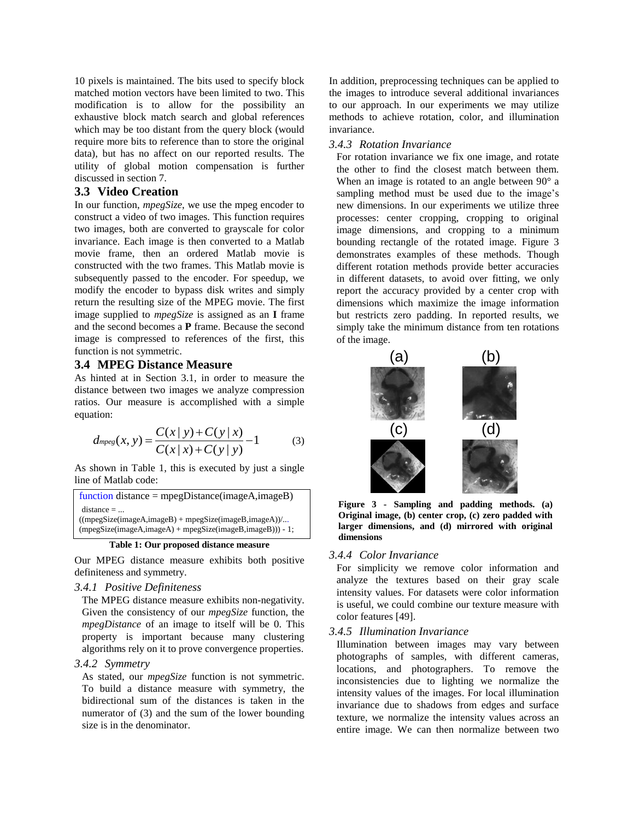10 pixels is maintained. The bits used to specify block matched motion vectors have been limited to two. This modification is to allow for the possibility an exhaustive block match search and global references which may be too distant from the query block (would require more bits to reference than to store the original data), but has no affect on our reported results. The utility of global motion compensation is further discussed in sectio[n 7.](#page-8-0)

# **3.3 Video Creation**

In our function, *mpegSize*, we use the mpeg encoder to construct a video of two images. This function requires two images, both are converted to grayscale for color invariance. Each image is then converted to a Matlab movie frame, then an ordered Matlab movie is constructed with the two frames. This Matlab movie is subsequently passed to the encoder. For speedup, we modify the encoder to bypass disk writes and simply return the resulting size of the MPEG movie. The first image supplied to *mpegSize* is assigned as an **I** frame and the second becomes a **P** frame. Because the second image is compressed to references of the first, this function is not symmetric.

# **3.4 MPEG Distance Measure**

As hinted at in Section 3.1, in order to measure the distance between two images we analyze compression ratios. Our measure is accomplished with a simple equation:

ation:  
\n
$$
d_{mpeg}(x, y) = \frac{C(x | y) + C(y | x)}{C(x | x) + C(y | y)} - 1
$$
\n(3)

As shown in [Table 1,](#page-4-0) this is executed by just a single line of Matlab code:



```
Table 1: Our proposed distance measure
```
<span id="page-4-0"></span>Our MPEG distance measure exhibits both positive definiteness and symmetry.

## *3.4.1 Positive Definiteness*

The MPEG distance measure exhibits non-negativity. Given the consistency of our *mpegSize* function, the *mpegDistance* of an image to itself will be 0. This property is important because many clustering algorithms rely on it to prove convergence properties.

# *3.4.2 Symmetry*

As stated, our *mpegSize* function is not symmetric. To build a distance measure with symmetry, the bidirectional sum of the distances is taken in the numerator of (3) and the sum of the lower bounding size is in the denominator.

In addition, preprocessing techniques can be applied to the images to introduce several additional invariances to our approach. In our experiments we may utilize methods to achieve rotation, color, and illumination invariance.

#### *3.4.3 Rotation Invariance*

For rotation invariance we fix one image, and rotate the other to find the closest match between them. When an image is rotated to an angle between 90° a sampling method must be used due to the image's new dimensions. In our experiments we utilize three processes: center cropping, cropping to original image dimensions, and cropping to a minimum bounding rectangle of the rotated image. [Figure 3](#page-4-1) demonstrates examples of these methods. Though different rotation methods provide better accuracies in different datasets, to avoid over fitting, we only report the accuracy provided by a center crop with dimensions which maximize the image information but restricts zero padding. In reported results, we simply take the minimum distance from ten rotations of the image.



<span id="page-4-1"></span>**Figure 3 - Sampling and padding methods. (a) Original image, (b) center crop, (c) zero padded with larger dimensions, and (d) mirrored with original dimensions**

## *3.4.4 Color Invariance*

For simplicity we remove color information and analyze the textures based on their gray scale intensity values. For datasets were color information is useful, we could combine our texture measure with color features [\[49\].](#page-11-6)

## *3.4.5 Illumination Invariance*

Illumination between images may vary between photographs of samples, with different cameras, locations, and photographers. To remove the inconsistencies due to lighting we normalize the intensity values of the images. For local illumination invariance due to shadows from edges and surface texture, we normalize the intensity values across an entire image. We can then normalize between two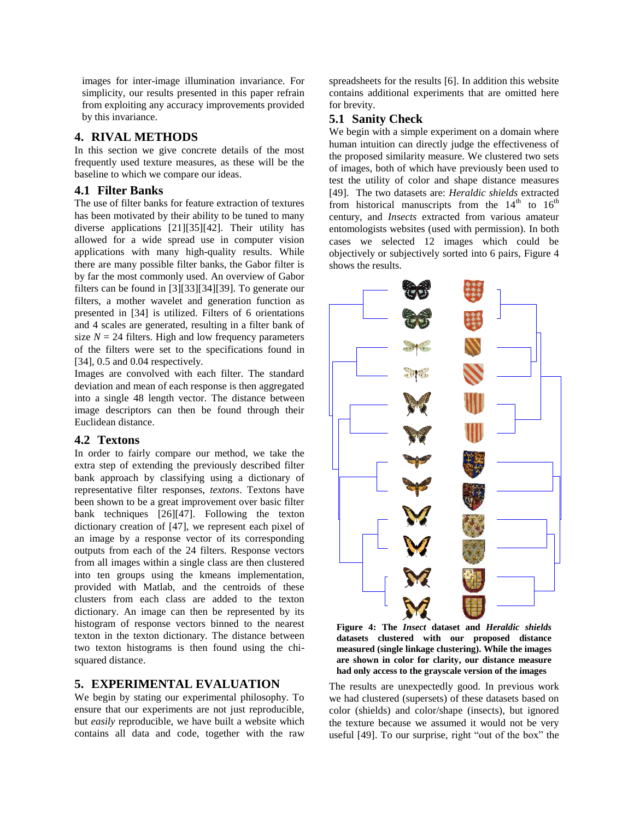images for inter-image illumination invariance. For simplicity, our results presented in this paper refrain from exploiting any accuracy improvements provided by this invariance.

# **4. RIVAL METHODS**

In this section we give concrete details of the most frequently used texture measures, as these will be the baseline to which we compare our ideas.

# **4.1 Filter Banks**

The use of filter banks for feature extraction of textures has been motivated by their ability to be tuned to many diverse applications [\[21\]\[35\]](#page-10-11)[\[42\].](#page-11-4) Their utility has allowed for a wide spread use in computer vision applications with many high-quality results. While there are many possible filter banks, the Gabor filter is by far the most commonly used. An overview of Gabor filters can be found in [\[3\]\[33\]](#page-9-0)[\[34\]\[39\].](#page-10-18) To generate our filters, a mother wavelet and generation function as presented in [\[34\]](#page-10-18) is utilized. Filters of 6 orientations and 4 scales are generated, resulting in a filter bank of size  $N = 24$  filters. High and low frequency parameters of the filters were set to the specifications found in [\[34\],](#page-10-18) 0.5 and 0.04 respectively.

Images are convolved with each filter. The standard deviation and mean of each response is then aggregated into a single 48 length vector. The distance between image descriptors can then be found through their Euclidean distance.

## **4.2 Textons**

In order to fairly compare our method, we take the extra step of extending the previously described filter bank approach by classifying using a dictionary of representative filter responses, *textons*. Textons have been shown to be a great improvement over basic filter bank techniques [\[26\]\[47\].](#page-10-19) Following the texton dictionary creation of [\[47\],](#page-11-7) we represent each pixel of an image by a response vector of its corresponding outputs from each of the 24 filters. Response vectors from all images within a single class are then clustered into ten groups using the kmeans implementation, provided with Matlab, and the centroids of these clusters from each class are added to the texton dictionary. An image can then be represented by its histogram of response vectors binned to the nearest texton in the texton dictionary. The distance between two texton histograms is then found using the chisquared distance.

# **5. EXPERIMENTAL EVALUATION**

We begin by stating our experimental philosophy. To ensure that our experiments are not just reproducible, but *easily* reproducible, we have built a website which contains all data and code, together with the raw

spreadsheets for the results [\[6\].](#page-9-4) In addition this website contains additional experiments that are omitted here for brevity.

# **5.1 Sanity Check**

We begin with a simple experiment on a domain where human intuition can directly judge the effectiveness of the proposed similarity measure. We clustered two sets of images, both of which have previously been used to test the utility of color and shape distance measures [\[49\].](#page-11-6) The two datasets are: *Heraldic shields* extracted from historical manuscripts from the  $14<sup>th</sup>$  to  $16<sup>th</sup>$ century, and *Insects* extracted from various amateur entomologists websites (used with permission). In both cases we selected 12 images which could be objectively or subjectively sorted into 6 pairs, [Figure 4](#page-5-0) shows the results.



<span id="page-5-0"></span>**Figure 4: The** *Insect* **dataset and** *Heraldic shields* **datasets clustered with our proposed distance measured (single linkage clustering). While the images are shown in color for clarity, our distance measure had only access to the grayscale version of the images** 

The results are unexpectedly good. In previous work we had clustered (supersets) of these datasets based on color (shields) and color/shape (insects), but ignored the texture because we assumed it would not be very useful  $[49]$ . To our surprise, right "out of the box" the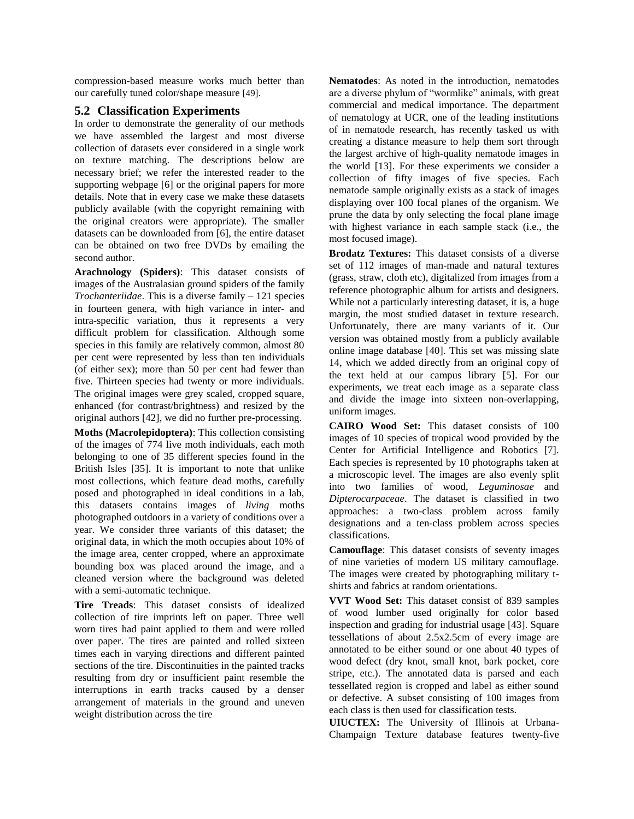compression-based measure works much better than our carefully tuned color/shape measure [\[49\]](#page-11-6).

# **5.2 Classification Experiments**

In order to demonstrate the generality of our methods we have assembled the largest and most diverse collection of datasets ever considered in a single work on texture matching. The descriptions below are necessary brief; we refer the interested reader to the supporting webpage [\[6\]](#page-9-4) or the original papers for more details. Note that in every case we make these datasets publicly available (with the copyright remaining with the original creators were appropriate). The smaller datasets can be downloaded from [\[6\],](#page-9-4) the entire dataset can be obtained on two free DVDs by emailing the second author.

**Arachnology (Spiders)**: This dataset consists of images of the Australasian ground spiders of the family *Trochanteriidae*. This is a diverse family – 121 species in fourteen genera, with high variance in inter- and intra-specific variation, thus it represents a very difficult problem for classification. Although some species in this family are relatively common, almost 80 per cent were represented by less than ten individuals (of either sex); more than 50 per cent had fewer than five. Thirteen species had twenty or more individuals. The original images were grey scaled, cropped square, enhanced (for contrast/brightness) and resized by the original authors [\[42\],](#page-11-4) we did no further pre-processing.

**Moths (Macrolepidoptera)**: This collection consisting of the images of 774 live moth individuals, each moth belonging to one of 35 different species found in the British Isles [\[35\].](#page-11-8) It is important to note that unlike most collections, which feature dead moths, carefully posed and photographed in ideal conditions in a lab, this datasets contains images of *living* moths photographed outdoors in a variety of conditions over a year. We consider three variants of this dataset; the original data, in which the moth occupies about 10% of the image area, center cropped, where an approximate bounding box was placed around the image, and a cleaned version where the background was deleted with a semi-automatic technique.

**Tire Treads**: This dataset consists of idealized collection of tire imprints left on paper. Three well worn tires had paint applied to them and were rolled over paper. The tires are painted and rolled sixteen times each in varying directions and different painted sections of the tire. Discontinuities in the painted tracks resulting from dry or insufficient paint resemble the interruptions in earth tracks caused by a denser arrangement of materials in the ground and uneven weight distribution across the tire

**Nematodes**: As noted in the introduction, nematodes are a diverse phylum of "wormlike" animals, with great commercial and medical importance. The department of nematology at UCR, one of the leading institutions of in nematode research, has recently tasked us with creating a distance measure to help them sort through the largest archive of high-quality nematode images in the world [\[13\].](#page-10-5) For these experiments we consider a collection of fifty images of five species. Each nematode sample originally exists as a stack of images displaying over 100 focal planes of the organism. We prune the data by only selecting the focal plane image with highest variance in each sample stack (i.e., the most focused image).

**Brodatz Textures:** This dataset consists of a diverse set of 112 images of man-made and natural textures (grass, straw, cloth etc), digitalized from images from a reference photographic album for artists and designers. While not a particularly interesting dataset, it is, a huge margin, the most studied dataset in texture research. Unfortunately, there are many variants of it. Our version was obtained mostly from a publicly available online image database [\[40\].](#page-11-9) This set was missing slate 14, which we added directly from an original copy of the text held at our campus library [\[5\].](#page-9-5) For our experiments, we treat each image as a separate class and divide the image into sixteen non-overlapping, uniform images.

**CAIRO Wood Set:** This dataset consists of 100 images of 10 species of tropical wood provided by the Center for Artificial Intelligence and Robotics [\[7\].](#page-10-20) Each species is represented by 10 photographs taken at a microscopic level. The images are also evenly split into two families of wood, *Leguminosae* and *Dipterocarpaceae*. The dataset is classified in two approaches: a two-class problem across family designations and a ten-class problem across species classifications.

**Camouflage**: This dataset consists of seventy images of nine varieties of modern US military camouflage. The images were created by photographing military tshirts and fabrics at random orientations.

**VVT Wood Set:** This dataset consist of 839 samples of wood lumber used originally for color based inspection and grading for industrial usage [\[43\].](#page-11-10) Square tessellations of about 2.5x2.5cm of every image are annotated to be either sound or one about 40 types of wood defect (dry knot, small knot, bark pocket, core stripe, etc.). The annotated data is parsed and each tessellated region is cropped and label as either sound or defective. A subset consisting of 100 images from each class is then used for classification tests.

**UIUCTEX:** The University of Illinois at Urbana-Champaign Texture database features twenty-five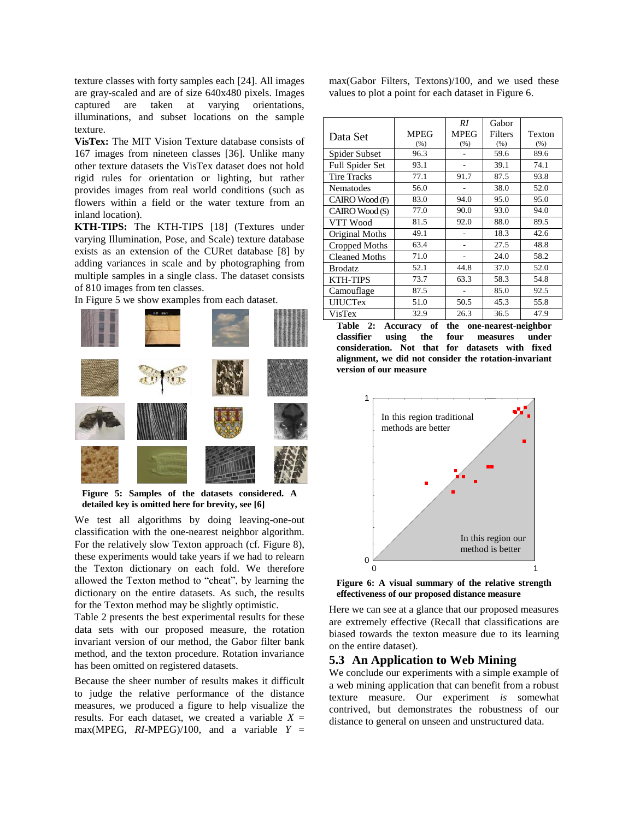texture classes with forty samples each [\[24\].](#page-10-21) All images are gray-scaled and are of size 640x480 pixels. Images captured are taken at varying orientations, illuminations, and subset locations on the sample texture.

**VisTex:** The MIT Vision Texture database consists of 167 images from nineteen classes [\[36\].](#page-11-11) Unlike many other texture datasets the VisTex dataset does not hold rigid rules for orientation or lighting, but rather provides images from real world conditions (such as flowers within a field or the water texture from an inland location).

**KTH-TIPS:** The KTH-TIPS [\[18\]](#page-10-22) (Textures under varying Illumination, Pose, and Scale) texture database exists as an extension of the CURet database [\[8\]](#page-10-23) by adding variances in scale and by photographing from multiple samples in a single class. The dataset consists of 810 images from ten classes.

In [Figure 5](#page-7-0) we show examples from each dataset.



**Figure 5: Samples of the datasets considered. A detailed key is omitted here for brevity, see [\[6\]](#page-9-4)**

<span id="page-7-0"></span>We test all algorithms by doing leaving-one-out classification with the one-nearest neighbor algorithm. For the relatively slow Texton approach (cf. [Figure 8\)](#page-8-1), these experiments would take years if we had to relearn the Texton dictionary on each fold. We therefore allowed the Texton method to "cheat", by learning the dictionary on the entire datasets. As such, the results for the Texton method may be slightly optimistic.

[Table 2](#page-7-1) presents the best experimental results for these data sets with our proposed measure, the rotation invariant version of our method, the Gabor filter bank method, and the texton procedure. Rotation invariance has been omitted on registered datasets.

Because the sheer number of results makes it difficult to judge the relative performance of the distance measures, we produced a figure to help visualize the results. For each dataset, we created a variable  $X =$ max(MPEG,  $RI-MPEG$ )/100, and a variable  $Y =$ 

max(Gabor Filters, Textons)/100, and we used these values to plot a point for each dataset i[n Figure 6.](#page-7-2)

|                      |             | RI          | Gabor   |        |
|----------------------|-------------|-------------|---------|--------|
| Data Set             | <b>MPEG</b> | <b>MPEG</b> | Filters | Texton |
|                      | (% )        | (% )        | (% )    | (%)    |
| Spider Subset        | 96.3        |             | 59.6    | 89.6   |
| Full Spider Set      | 93.1        |             | 39.1    | 74.1   |
| <b>Tire Tracks</b>   | 77.1        | 91.7        | 87.5    | 93.8   |
| Nematodes            | 56.0        |             | 38.0    | 52.0   |
| CAIRO Wood (F)       | 83.0        | 94.0        | 95.0    | 95.0   |
| CAIRO Wood (S)       | 77.0        | 90.0        | 93.0    | 94.0   |
| VTT Wood             | 81.5        | 92.0        | 88.0    | 89.5   |
| Original Moths       | 49.1        |             | 18.3    | 42.6   |
| Cropped Moths        | 63.4        |             | 27.5    | 48.8   |
| <b>Cleaned Moths</b> | 71.0        |             | 24.0    | 58.2   |
| Brodatz              | 52.1        | 44.8        | 37.0    | 52.0   |
| <b>KTH-TIPS</b>      | 73.7        | 63.3        | 58.3    | 54.8   |
| Camouflage           | 87.5        |             | 85.0    | 92.5   |
| <b>UIUCTex</b>       | 51.0        | 50.5        | 45.3    | 55.8   |
| VisTex               | 32.9        | 26.3        | 36.5    | 47.9   |

<span id="page-7-1"></span>**Table 2: Accuracy of the one-nearest-neighbor classifier using the four measures under consideration. Not that for datasets with fixed alignment, we did not consider the rotation-invariant version of our measure**



<span id="page-7-2"></span>**Figure 6: A visual summary of the relative strength effectiveness of our proposed distance measure**

Here we can see at a glance that our proposed measures are extremely effective (Recall that classifications are biased towards the texton measure due to its learning on the entire dataset).

#### **5.3 An Application to Web Mining**

We conclude our experiments with a simple example of a web mining application that can benefit from a robust texture measure. Our experiment *is* somewhat contrived, but demonstrates the robustness of our distance to general on unseen and unstructured data.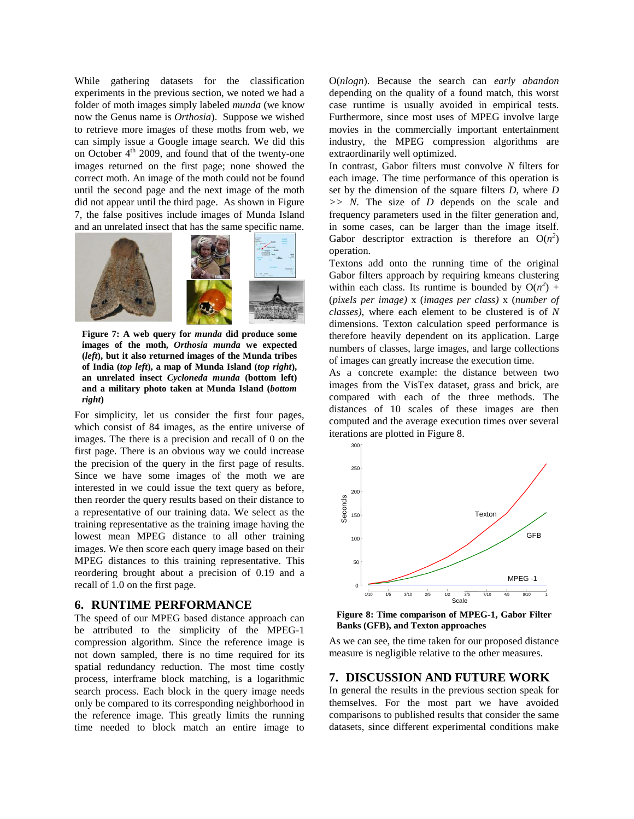While gathering datasets for the classification experiments in the previous section, we noted we had a folder of moth images simply labeled *munda* (we know now the Genus name is *Orthosia*). Suppose we wished to retrieve more images of these moths from web, we can simply issue a Google image search. We did this on October  $4<sup>th</sup>$  2009, and found that of the twenty-one images returned on the first page; none showed the correct moth. An image of the moth could not be found until the second page and the next image of the moth did not appear until the third page. As shown in [Figure](#page-8-2)  [7,](#page-8-2) the false positives include images of Munda Island and an unrelated insect that has the same specific name.



**Figure 7: A web query for** *munda* **did produce some images of the moth,** *Orthosia munda* **we expected (***left***), but it also returned images of the Munda tribes of India (***top left***), a map of Munda Island (***top right***), an unrelated insect** *Cycloneda munda* **(bottom left) and a military photo taken at Munda Island (***bottom right***)**

<span id="page-8-2"></span>For simplicity, let us consider the first four pages, which consist of 84 images, as the entire universe of images. The there is a precision and recall of 0 on the first page. There is an obvious way we could increase the precision of the query in the first page of results. Since we have some images of the moth we are interested in we could issue the text query as before, then reorder the query results based on their distance to a representative of our training data. We select as the training representative as the training image having the lowest mean MPEG distance to all other training images. We then score each query image based on their MPEG distances to this training representative. This reordering brought about a precision of 0.19 and a recall of 1.0 on the first page.

# **6. RUNTIME PERFORMANCE**

The speed of our MPEG based distance approach can be attributed to the simplicity of the MPEG-1 compression algorithm. Since the reference image is not down sampled, there is no time required for its spatial redundancy reduction. The most time costly process, interframe block matching, is a logarithmic search process. Each block in the query image needs only be compared to its corresponding neighborhood in the reference image. This greatly limits the running time needed to block match an entire image to

O(*nlogn*). Because the search can *early abandon* depending on the quality of a found match, this worst case runtime is usually avoided in empirical tests. Furthermore, since most uses of MPEG involve large movies in the commercially important entertainment industry, the MPEG compression algorithms are extraordinarily well optimized.

In contrast, Gabor filters must convolve *N* filters for each image. The time performance of this operation is set by the dimension of the square filters *D*, where *D >> N*. The size of *D* depends on the scale and frequency parameters used in the filter generation and, in some cases, can be larger than the image itself. Gabor descriptor extraction is therefore an  $O(n^2)$ operation.

Textons add onto the running time of the original Gabor filters approach by requiring kmeans clustering within each class. Its runtime is bounded by  $O(n^2)$  + (*pixels per image)* x (*images per class)* x (*number of classes),* where each element to be clustered is of *N* dimensions. Texton calculation speed performance is therefore heavily dependent on its application. Large numbers of classes, large images, and large collections of images can greatly increase the execution time.

As a concrete example: the distance between two images from the VisTex dataset, grass and brick, are compared with each of the three methods. The distances of 10 scales of these images are then computed and the average execution times over several iterations are plotted in [Figure 8.](#page-8-1)



<span id="page-8-1"></span>**Figure 8: Time comparison of MPEG-1, Gabor Filter Banks (GFB), and Texton approaches**

As we can see, the time taken for our proposed distance measure is negligible relative to the other measures.

#### <span id="page-8-0"></span>**7. DISCUSSION AND FUTURE WORK**

In general the results in the previous section speak for themselves. For the most part we have avoided comparisons to published results that consider the same datasets, since different experimental conditions make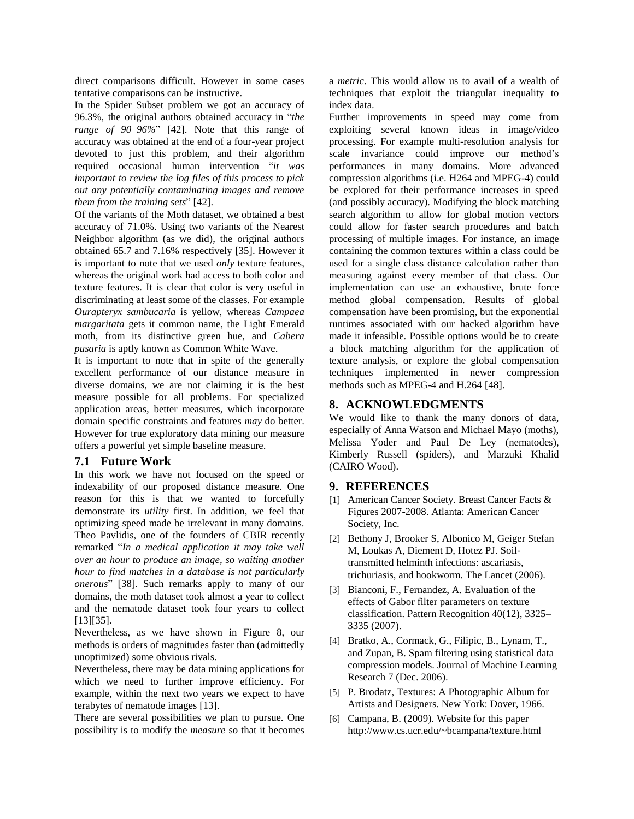direct comparisons difficult. However in some cases tentative comparisons can be instructive.

In the Spider Subset problem we got an accuracy of 96.3%, the original authors obtained accuracy in "*the range of 90–96%*‖ [\[42\].](#page-11-4) Note that this range of accuracy was obtained at the end of a four-year project devoted to just this problem, and their algorithm required occasional human intervention ―*it was important to review the log files of this process to pick out any potentially contaminating images and remove them from the training sets*" [\[42\].](#page-11-4)

Of the variants of the Moth dataset, we obtained a best accuracy of 71.0%. Using two variants of the Nearest Neighbor algorithm (as we did), the original authors obtained 65.7 and 7.16% respectively [\[35\].](#page-11-8) However it is important to note that we used *only* texture features, whereas the original work had access to both color and texture features. It is clear that color is very useful in discriminating at least some of the classes. For example *Ourapteryx sambucaria* is yellow, whereas *Campaea margaritata* gets it common name, the Light Emerald moth, from its distinctive green hue, and *Cabera pusaria* is aptly known as Common White Wave.

It is important to note that in spite of the generally excellent performance of our distance measure in diverse domains, we are not claiming it is the best measure possible for all problems. For specialized application areas, better measures, which incorporate domain specific constraints and features *may* do better. However for true exploratory data mining our measure offers a powerful yet simple baseline measure.

## **7.1 Future Work**

In this work we have not focused on the speed or indexability of our proposed distance measure. One reason for this is that we wanted to forcefully demonstrate its *utility* first. In addition, we feel that optimizing speed made be irrelevant in many domains. Theo Pavlidis, one of the founders of CBIR recently remarked "In a medical application it may take well *over an hour to produce an image, so waiting another hour to find matches in a database is not particularly onerous*‖ [\[38\].](#page-11-12) Such remarks apply to many of our domains, the moth dataset took almost a year to collect and the nematode dataset took four years to collect [\[13\]\[35\].](#page-10-5)

Nevertheless, as we have shown in [Figure 8,](#page-8-1) our methods is orders of magnitudes faster than (admittedly unoptimized) some obvious rivals.

Nevertheless, there may be data mining applications for which we need to further improve efficiency. For example, within the next two years we expect to have terabytes of nematode images [\[13\].](#page-10-5)

There are several possibilities we plan to pursue. One possibility is to modify the *measure* so that it becomes a *metric*. This would allow us to avail of a wealth of techniques that exploit the triangular inequality to index data.

Further improvements in speed may come from exploiting several known ideas in image/video processing. For example multi-resolution analysis for scale invariance could improve our method's performances in many domains. More advanced compression algorithms (i.e. H264 and MPEG-4) could be explored for their performance increases in speed (and possibly accuracy). Modifying the block matching search algorithm to allow for global motion vectors could allow for faster search procedures and batch processing of multiple images. For instance, an image containing the common textures within a class could be used for a single class distance calculation rather than measuring against every member of that class. Our implementation can use an exhaustive, brute force method global compensation. Results of global compensation have been promising, but the exponential runtimes associated with our hacked algorithm have made it infeasible. Possible options would be to create a block matching algorithm for the application of texture analysis, or explore the global compensation techniques implemented in newer compression methods such as MPEG-4 and H.264 [\[48\].](#page-11-13)

# **8. ACKNOWLEDGMENTS**

We would like to thank the many donors of data, especially of Anna Watson and Michael Mayo (moths), Melissa Yoder and Paul De Ley (nematodes), Kimberly Russell (spiders), and Marzuki Khalid (CAIRO Wood).

# **9. REFERENCES**

- <span id="page-9-2"></span>[1] American Cancer Society. Breast Cancer Facts & Figures 2007-2008. Atlanta: American Cancer Society, Inc.
- <span id="page-9-1"></span>[2] Bethony J, Brooker S, Albonico M, Geiger Stefan M, Loukas A, Diement D, Hotez PJ. Soiltransmitted helminth infections: ascariasis, trichuriasis, and hookworm. The Lancet (2006).
- <span id="page-9-0"></span>[3] Bianconi, F., Fernandez, A. Evaluation of the effects of Gabor filter parameters on texture classification. Pattern Recognition 40(12), 3325– 3335 (2007).
- <span id="page-9-3"></span>[4] Bratko, A., Cormack, G., Filipic, B., Lynam, T., and Zupan, B. Spam filtering using statistical data compression models. Journal of Machine Learning Research 7 (Dec. 2006).
- <span id="page-9-5"></span>[5] P. Brodatz, Textures: A Photographic Album for Artists and Designers. New York: Dover, 1966.
- <span id="page-9-4"></span>[6] Campana, B. (2009). Website for this paper http://www.cs.ucr.edu/~bcampana/texture.html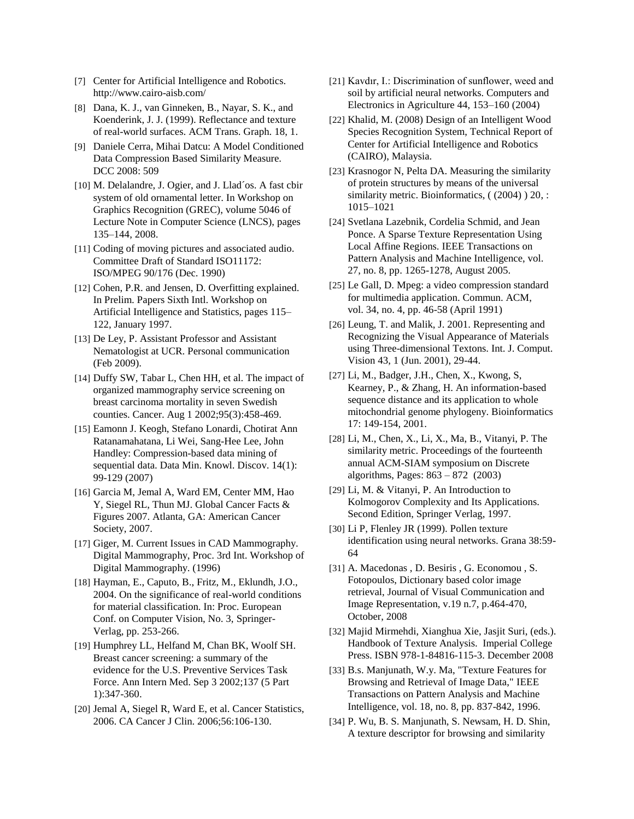- <span id="page-10-20"></span>[7] Center for Artificial Intelligence and Robotics. http://www.cairo-aisb.com/
- <span id="page-10-23"></span>[8] Dana, K. J., van Ginneken, B., Nayar, S. K., and Koenderink, J. J. (1999). Reflectance and texture of real-world surfaces. ACM Trans. Graph. 18, 1.
- <span id="page-10-3"></span>[9] Daniele Cerra, Mihai Datcu: A Model Conditioned Data Compression Based Similarity Measure. DCC 2008: 509
- <span id="page-10-15"></span>[10] M. Delalandre, J. Ogier, and J. Llad´os. A fast cbir system of old ornamental letter. In Workshop on Graphics Recognition (GREC), volume 5046 of Lecture Note in Computer Science (LNCS), pages 135–144, 2008.
- <span id="page-10-17"></span>[11] Coding of moving pictures and associated audio. Committee Draft of Standard ISO11172: ISO/MPEG 90/176 (Dec. 1990)
- <span id="page-10-1"></span>[12] Cohen, P.R. and Jensen, D. Overfitting explained. In Prelim. Papers Sixth Intl. Workshop on Artificial Intelligence and Statistics, pages 115– 122, January 1997.
- <span id="page-10-5"></span>[13] De Ley, P. Assistant Professor and Assistant Nematologist at UCR. Personal communication (Feb 2009).
- <span id="page-10-8"></span>[14] Duffy SW, Tabar L, Chen HH, et al. The impact of organized mammography service screening on breast carcinoma mortality in seven Swedish counties. Cancer. Aug 1 2002;95(3):458-469.
- <span id="page-10-2"></span>[15] Eamonn J. Keogh, Stefano Lonardi, Chotirat Ann Ratanamahatana, Li Wei, Sang-Hee Lee, John Handley: Compression-based data mining of sequential data. Data Min. Knowl. Discov. 14(1): 99-129 (2007)
- <span id="page-10-6"></span>[16] Garcia M, Jemal A, Ward EM, Center MM, Hao Y, Siegel RL, Thun MJ. Global Cancer Facts & Figures 2007. Atlanta, GA: American Cancer Society, 2007.
- <span id="page-10-9"></span>[17] Giger, M. Current Issues in CAD Mammography. Digital Mammography, Proc. 3rd Int. Workshop of Digital Mammography. (1996)
- <span id="page-10-22"></span>[18] Hayman, E., Caputo, B., Fritz, M., Eklundh, J.O., 2004. On the significance of real-world conditions for material classification. In: Proc. European Conf. on Computer Vision, No. 3, Springer-Verlag, pp. 253-266.
- [19] Humphrey LL, Helfand M, Chan BK, Woolf SH. Breast cancer screening: a summary of the evidence for the U.S. Preventive Services Task Force. Ann Intern Med. Sep 3 2002;137 (5 Part 1):347-360.
- <span id="page-10-7"></span>[20] Jemal A, Siegel R, Ward E, et al. Cancer Statistics, 2006. CA Cancer J Clin. 2006;56:106-130.
- <span id="page-10-11"></span>[21] Kavdır, I.: Discrimination of sunflower, weed and soil by artificial neural networks. Computers and Electronics in Agriculture 44, 153–160 (2004)
- <span id="page-10-0"></span>[22] Khalid, M. (2008) Design of an Intelligent Wood Species Recognition System, Technical Report of Center for Artificial Intelligence and Robotics (CAIRO), Malaysia.
- <span id="page-10-13"></span>[23] Krasnogor N, Pelta DA. Measuring the similarity of protein structures by means of the universal similarity metric. Bioinformatics,  $(2004)$ ) 20, : 1015–1021
- <span id="page-10-21"></span>[24] Svetlana Lazebnik, Cordelia Schmid, and Jean Ponce. [A Sparse Texture Representation Using](http://www-cvr.ai.uiuc.edu/ponce_grp/publication/paper/pami04.ps.gz)  [Local Affine Regions.](http://www-cvr.ai.uiuc.edu/ponce_grp/publication/paper/pami04.ps.gz) IEEE Transactions on Pattern Analysis and Machine Intelligence, vol. 27, no. 8, pp. 1265-1278, August 2005.
- [25] Le Gall, D. Mpeg: a video compression standard for multimedia application. Commun. ACM, vol. 34, no. 4, pp. 46-58 (April 1991)
- <span id="page-10-19"></span>[26] Leung, T. and Malik, J. 2001. Representing and Recognizing the Visual Appearance of Materials using Three-dimensional Textons. Int. J. Comput. Vision 43, 1 (Jun. 2001), 29-44.
- <span id="page-10-4"></span>[27] Li, M., Badger, J.H., Chen, X., Kwong, S, Kearney, P., & Zhang, H. An information-based sequence distance and its application to whole mitochondrial genome phylogeny. Bioinformatics 17: 149-154, 2001.
- <span id="page-10-12"></span>[28] Li, M., Chen, X., Li, X., Ma, B., Vitanyi, P. The similarity metric. Proceedings of the fourteenth annual ACM-SIAM symposium on Discrete algorithms, Pages: 863 – 872 (2003)
- <span id="page-10-16"></span>[29] Li, M. & Vitanyi, P. An Introduction to Kolmogorov Complexity and Its Applications. Second Edition, Springer Verlag, 1997.
- [30] Li P, Flenley JR (1999). Pollen texture identification using neural networks. Grana 38:59- 64
- <span id="page-10-14"></span>[31] A. Macedonas , D. Besiris , G. Economou , S. Fotopoulos, Dictionary based color image retrieval, Journal of Visual Communication and Image Representation, v.19 n.7, p.464-470, October, 2008
- <span id="page-10-10"></span>[32] Majid Mirmehdi, Xianghua Xie, Jasjit Suri, (eds.). Handbook of Texture Analysis. Imperial College Press. ISBN 978-1-84816-115-3. December 2008
- [33] B.s. Manjunath, W.y. Ma, "Texture Features for Browsing and Retrieval of Image Data," IEEE Transactions on Pattern Analysis and Machine Intelligence, vol. 18, no. 8, pp. 837-842, 1996.
- <span id="page-10-18"></span>[34] P. Wu, B. S. Manjunath, S. Newsam, H. D. Shin, A texture descriptor for browsing and similarity